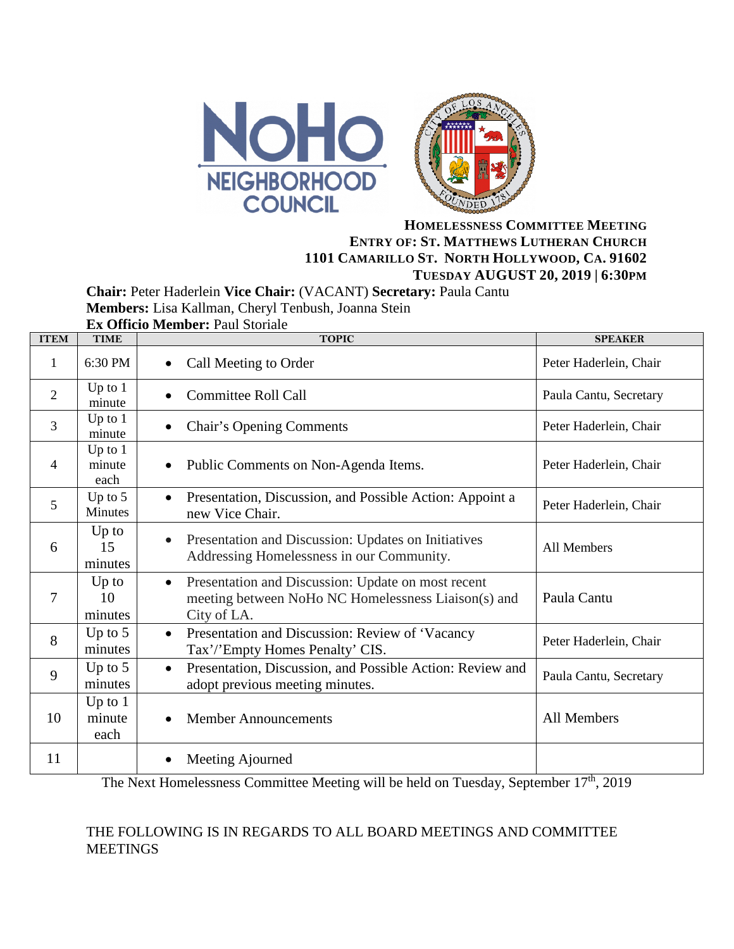



## **HOMELESSNESS COMMITTEE MEETING ENTRY OF: ST. MATTHEWS LUTHERAN CHURCH 1101 CAMARILLO ST. NORTH HOLLYWOOD, CA. 91602 TUESDAY AUGUST 20, 2019 | 6:30PM**

**Chair:** Peter Haderlein **Vice Chair:** (VACANT) **Secretary:** Paula Cantu

**Members:** Lisa Kallman, Cheryl Tenbush, Joanna Stein

| <b>Ex Officio Member: Paul Storiale</b> |  |
|-----------------------------------------|--|
|-----------------------------------------|--|

| <b>ITEM</b>    | <b>TIME</b>                 | <b>TOPIC</b>                                                                                                                          | <b>SPEAKER</b>         |
|----------------|-----------------------------|---------------------------------------------------------------------------------------------------------------------------------------|------------------------|
| 1              | 6:30 PM                     | Call Meeting to Order<br>$\bullet$                                                                                                    | Peter Haderlein, Chair |
| $\overline{2}$ | Up to $1$<br>minute         | <b>Committee Roll Call</b>                                                                                                            | Paula Cantu, Secretary |
| $\overline{3}$ | Up to $1$<br>minute         | <b>Chair's Opening Comments</b>                                                                                                       | Peter Haderlein, Chair |
| 4              | Up to $1$<br>minute<br>each | Public Comments on Non-Agenda Items.<br>$\bullet$                                                                                     | Peter Haderlein, Chair |
| 5              | Up to $5$<br>Minutes        | Presentation, Discussion, and Possible Action: Appoint a<br>$\bullet$<br>new Vice Chair.                                              | Peter Haderlein, Chair |
| 6              | $Up$ to<br>15<br>minutes    | Presentation and Discussion: Updates on Initiatives<br>$\bullet$<br>Addressing Homelessness in our Community.                         | All Members            |
| 7              | $Up$ to<br>10<br>minutes    | Presentation and Discussion: Update on most recent<br>$\bullet$<br>meeting between NoHo NC Homelessness Liaison(s) and<br>City of LA. | Paula Cantu            |
| 8              | Up to $5$<br>minutes        | Presentation and Discussion: Review of 'Vacancy<br>$\bullet$<br>Tax'/'Empty Homes Penalty' CIS.                                       | Peter Haderlein, Chair |
| 9              | Up to $5$<br>minutes        | Presentation, Discussion, and Possible Action: Review and<br>$\bullet$<br>adopt previous meeting minutes.                             | Paula Cantu, Secretary |
| 10             | Up to $1$<br>minute<br>each | <b>Member Announcements</b><br>$\bullet$                                                                                              | All Members            |
| 11             |                             | Meeting Ajourned                                                                                                                      |                        |

The Next Homelessness Committee Meeting will be held on Tuesday, September 17<sup>th</sup>, 2019

## THE FOLLOWING IS IN REGARDS TO ALL BOARD MEETINGS AND COMMITTEE MEETINGS